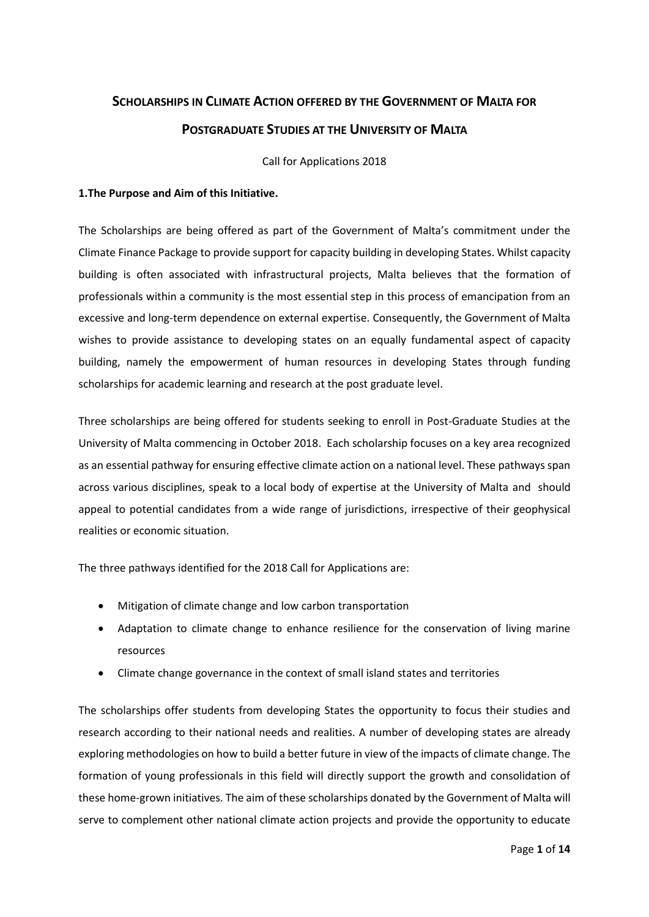# **SCHOLARSHIPS IN CLIMATE ACTION OFFERED BY THE GOVERNMENT OF MALTA FOR POSTGRADUATE STUDIES AT THE UNIVERSITY OF MALTA**

Call for Applications 2018

### **1.The Purpose and Aim of this Initiative.**

The Scholarships are being offered as part of the Government of Malta's commitment under the Climate Finance Package to provide support for capacity building in developing States. Whilst capacity building is often associated with infrastructural projects, Malta believes that the formation of professionals within a community is the most essential step in this process of emancipation from an excessive and long-term dependence on external expertise. Consequently, the Government of Malta wishes to provide assistance to developing states on an equally fundamental aspect of capacity building, namely the empowerment of human resources in developing States through funding scholarships for academic learning and research at the post graduate level.

Three scholarships are being offered for students seeking to enroll in Post-Graduate Studies at the University of Malta commencing in October 2018. Each scholarship focuses on a key area recognized as an essential pathway for ensuring effective climate action on a national level. These pathways span across various disciplines, speak to a local body of expertise at the University of Malta and should appeal to potential candidates from a wide range of jurisdictions, irrespective of their geophysical realities or economic situation.

The three pathways identified for the 2018 Call for Applications are:

- Mitigation of climate change and low carbon transportation
- Adaptation to climate change to enhance resilience for the conservation of living marine resources
- Climate change governance in the context of small island states and territories

The scholarships offer students from developing States the opportunity to focus their studies and research according to their national needs and realities. A number of developing states are already exploring methodologies on how to build a better future in view of the impacts of climate change. The formation of young professionals in this field will directly support the growth and consolidation of these home-grown initiatives. The aim of these scholarships donated by the Government of Malta will serve to complement other national climate action projects and provide the opportunity to educate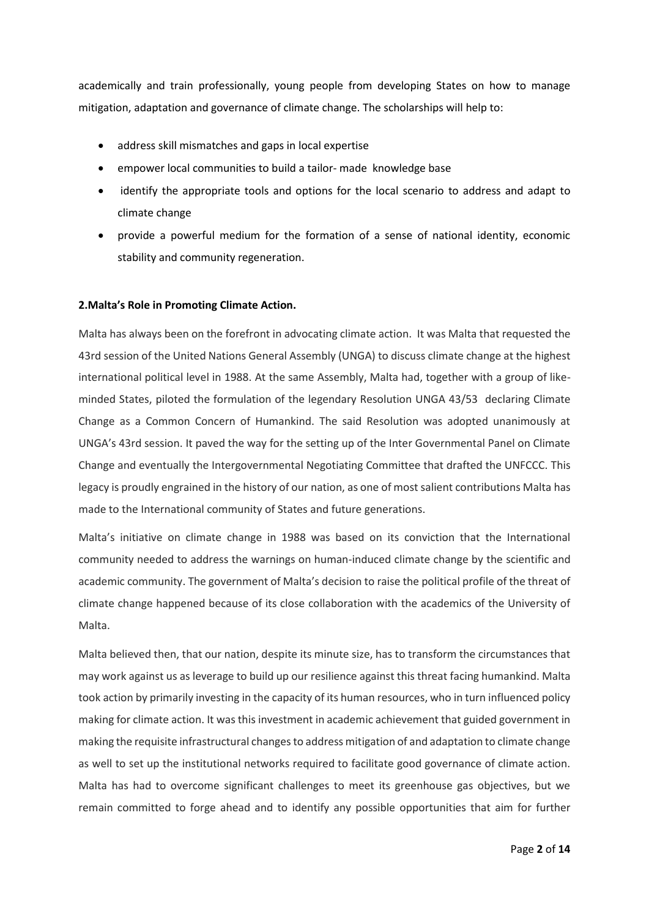academically and train professionally, young people from developing States on how to manage mitigation, adaptation and governance of climate change. The scholarships will help to:

- address skill mismatches and gaps in local expertise
- empower local communities to build a tailor- made knowledge base
- identify the appropriate tools and options for the local scenario to address and adapt to climate change
- provide a powerful medium for the formation of a sense of national identity, economic stability and community regeneration.

#### **2.Malta's Role in Promoting Climate Action.**

Malta has always been on the forefront in advocating climate action. It was Malta that requested the 43rd session of the United Nations General Assembly (UNGA) to discuss climate change at the highest international political level in 1988. At the same Assembly, Malta had, together with a group of likeminded States, piloted the formulation of the legendary Resolution UNGA 43/53 declaring Climate Change as a Common Concern of Humankind. The said Resolution was adopted unanimously at UNGA's 43rd session. It paved the way for the setting up of the Inter Governmental Panel on Climate Change and eventually the Intergovernmental Negotiating Committee that drafted the UNFCCC. This legacy is proudly engrained in the history of our nation, as one of most salient contributions Malta has made to the International community of States and future generations.

Malta's initiative on climate change in 1988 was based on its conviction that the International community needed to address the warnings on human-induced climate change by the scientific and academic community. The government of Malta's decision to raise the political profile of the threat of climate change happened because of its close collaboration with the academics of the University of Malta.

Malta believed then, that our nation, despite its minute size, has to transform the circumstances that may work against us as leverage to build up our resilience against this threat facing humankind. Malta took action by primarily investing in the capacity of its human resources, who in turn influenced policy making for climate action. It was this investment in academic achievement that guided government in making the requisite infrastructural changes to address mitigation of and adaptation to climate change as well to set up the institutional networks required to facilitate good governance of climate action. Malta has had to overcome significant challenges to meet its greenhouse gas objectives, but we remain committed to forge ahead and to identify any possible opportunities that aim for further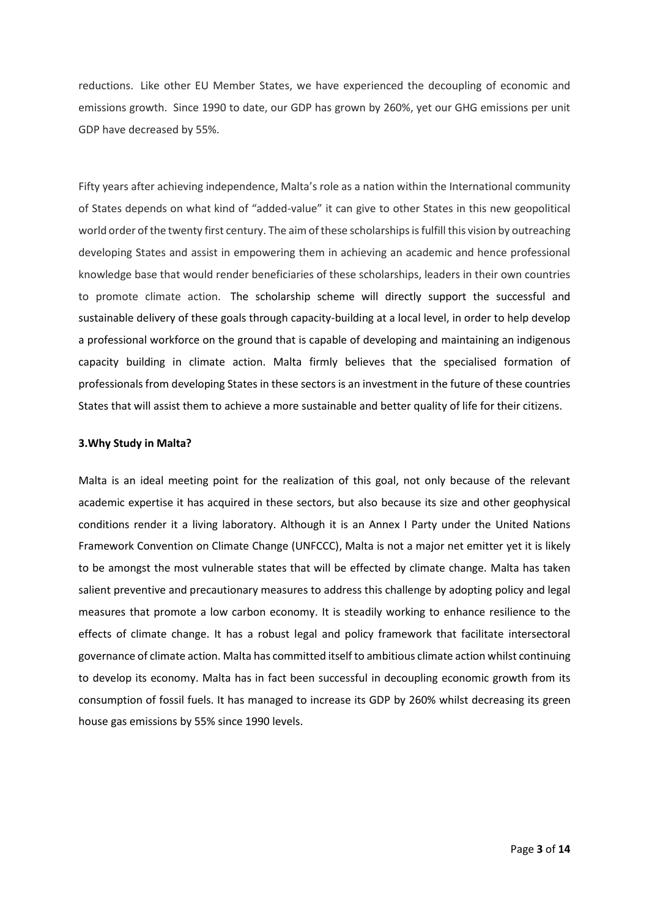reductions. Like other EU Member States, we have experienced the decoupling of economic and emissions growth. Since 1990 to date, our GDP has grown by 260%, yet our GHG emissions per unit GDP have decreased by 55%.

Fifty years after achieving independence, Malta's role as a nation within the International community of States depends on what kind of "added-value" it can give to other States in this new geopolitical world order of the twenty first century. The aim of these scholarships is fulfill this vision by outreaching developing States and assist in empowering them in achieving an academic and hence professional knowledge base that would render beneficiaries of these scholarships, leaders in their own countries to promote climate action. The scholarship scheme will directly support the successful and sustainable delivery of these goals through capacity-building at a local level, in order to help develop a professional workforce on the ground that is capable of developing and maintaining an indigenous capacity building in climate action. Malta firmly believes that the specialised formation of professionals from developing States in these sectors is an investment in the future of these countries States that will assist them to achieve a more sustainable and better quality of life for their citizens.

#### **3.Why Study in Malta?**

Malta is an ideal meeting point for the realization of this goal, not only because of the relevant academic expertise it has acquired in these sectors, but also because its size and other geophysical conditions render it a living laboratory. Although it is an Annex I Party under the United Nations Framework Convention on Climate Change (UNFCCC), Malta is not a major net emitter yet it is likely to be amongst the most vulnerable states that will be effected by climate change. Malta has taken salient preventive and precautionary measures to address this challenge by adopting policy and legal measures that promote a low carbon economy. It is steadily working to enhance resilience to the effects of climate change. It has a robust legal and policy framework that facilitate intersectoral governance of climate action. Malta has committed itself to ambitious climate action whilst continuing to develop its economy. Malta has in fact been successful in decoupling economic growth from its consumption of fossil fuels. It has managed to increase its GDP by 260% whilst decreasing its green house gas emissions by 55% since 1990 levels.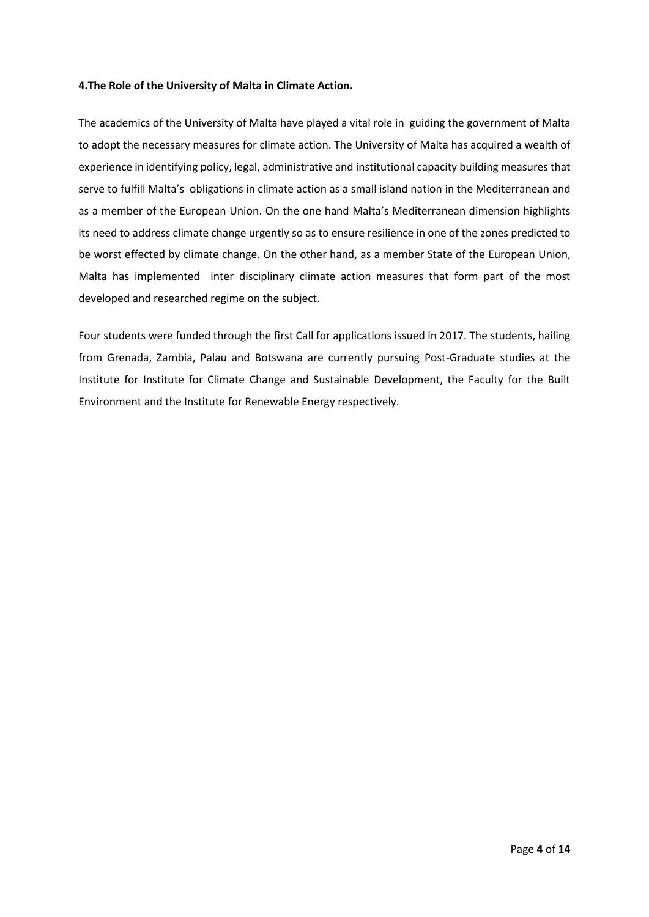#### **4.The Role of the University of Malta in Climate Action.**

The academics of the University of Malta have played a vital role in guiding the government of Malta to adopt the necessary measures for climate action. The University of Malta has acquired a wealth of experience in identifying policy, legal, administrative and institutional capacity building measures that serve to fulfill Malta's obligations in climate action as a small island nation in the Mediterranean and as a member of the European Union. On the one hand Malta's Mediterranean dimension highlights its need to address climate change urgently so as to ensure resilience in one of the zones predicted to be worst effected by climate change. On the other hand, as a member State of the European Union, Malta has implemented inter disciplinary climate action measures that form part of the most developed and researched regime on the subject.

Four students were funded through the first Call for applications issued in 2017. The students, hailing from Grenada, Zambia, Palau and Botswana are currently pursuing Post-Graduate studies at the Institute for Institute for Climate Change and Sustainable Development, the Faculty for the Built Environment and the Institute for Renewable Energy respectively.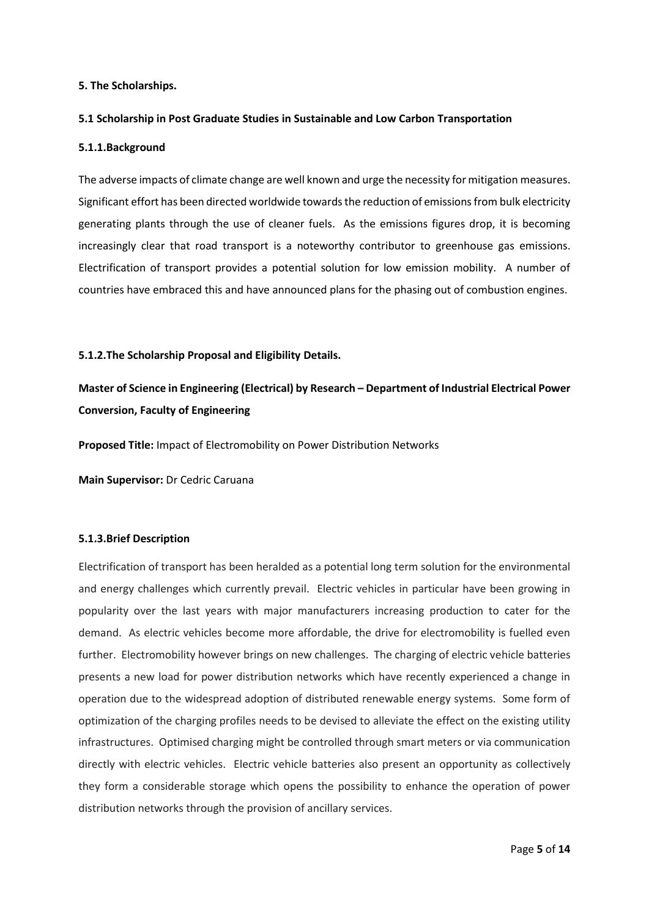#### **5. The Scholarships.**

#### **5.1 Scholarship in Post Graduate Studies in Sustainable and Low Carbon Transportation**

#### **5.1.1.Background**

The adverse impacts of climate change are well known and urge the necessity for mitigation measures. Significant effort has been directed worldwide towards the reduction of emissions from bulk electricity generating plants through the use of cleaner fuels. As the emissions figures drop, it is becoming increasingly clear that road transport is a noteworthy contributor to greenhouse gas emissions. Electrification of transport provides a potential solution for low emission mobility. A number of countries have embraced this and have announced plans for the phasing out of combustion engines.

#### **5.1.2.The Scholarship Proposal and Eligibility Details.**

# **Master of Science in Engineering (Electrical) by Research – Department of Industrial Electrical Power Conversion, Faculty of Engineering**

**Proposed Title:** Impact of Electromobility on Power Distribution Networks

**Main Supervisor:** Dr Cedric Caruana

#### **5.1.3.Brief Description**

Electrification of transport has been heralded as a potential long term solution for the environmental and energy challenges which currently prevail. Electric vehicles in particular have been growing in popularity over the last years with major manufacturers increasing production to cater for the demand. As electric vehicles become more affordable, the drive for electromobility is fuelled even further. Electromobility however brings on new challenges. The charging of electric vehicle batteries presents a new load for power distribution networks which have recently experienced a change in operation due to the widespread adoption of distributed renewable energy systems. Some form of optimization of the charging profiles needs to be devised to alleviate the effect on the existing utility infrastructures. Optimised charging might be controlled through smart meters or via communication directly with electric vehicles. Electric vehicle batteries also present an opportunity as collectively they form a considerable storage which opens the possibility to enhance the operation of power distribution networks through the provision of ancillary services.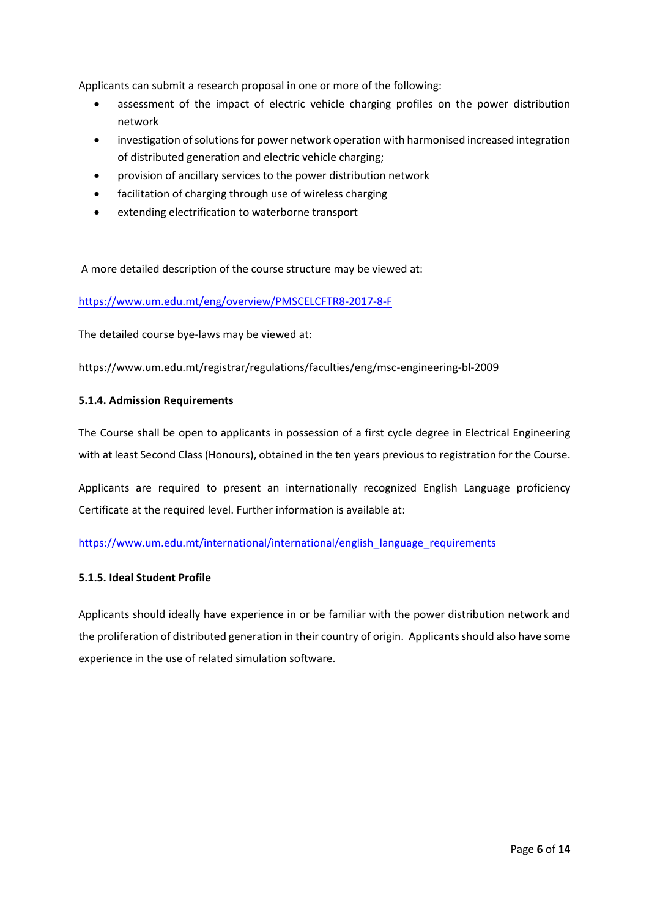Applicants can submit a research proposal in one or more of the following:

- assessment of the impact of electric vehicle charging profiles on the power distribution network
- investigation of solutions for power network operation with harmonised increased integration of distributed generation and electric vehicle charging;
- provision of ancillary services to the power distribution network
- facilitation of charging through use of wireless charging
- extending electrification to waterborne transport

A more detailed description of the course structure may be viewed at:

<https://www.um.edu.mt/eng/overview/PMSCELCFTR8-2017-8-F>

The detailed course bye-laws may be viewed at:

https://www.um.edu.mt/registrar/regulations/faculties/eng/msc-engineering-bl-2009

#### **5.1.4. Admission Requirements**

The Course shall be open to applicants in possession of a first cycle degree in Electrical Engineering with at least Second Class (Honours), obtained in the ten years previous to registration for the Course.

Applicants are required to present an internationally recognized English Language proficiency Certificate at the required level. Further information is available at:

[https://www.um.edu.mt/international/international/english\\_language\\_requirements](https://www.um.edu.mt/international/international/english_language_requirements)

#### **5.1.5. Ideal Student Profile**

Applicants should ideally have experience in or be familiar with the power distribution network and the proliferation of distributed generation in their country of origin. Applicants should also have some experience in the use of related simulation software.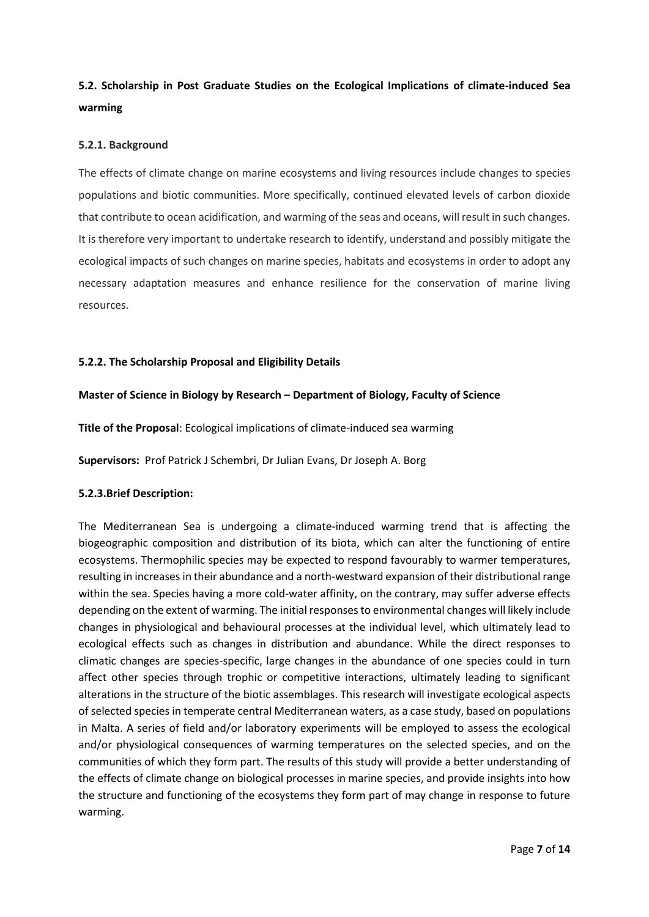# **5.2. Scholarship in Post Graduate Studies on the Ecological Implications of climate-induced Sea warming**

#### **5.2.1. Background**

The effects of climate change on marine ecosystems and living resources include changes to species populations and biotic communities. More specifically, continued elevated levels of carbon dioxide that contribute to ocean acidification, and warming of the seas and oceans, will result in such changes. It is therefore very important to undertake research to identify, understand and possibly mitigate the ecological impacts of such changes on marine species, habitats and ecosystems in order to adopt any necessary adaptation measures and enhance resilience for the conservation of marine living resources.

#### **5.2.2. The Scholarship Proposal and Eligibility Details**

#### **Master of Science in Biology by Research – Department of Biology, Faculty of Science**

**Title of the Proposal**: Ecological implications of climate-induced sea warming

**Supervisors:** Prof Patrick J Schembri, Dr Julian Evans, Dr Joseph A. Borg

#### **5.2.3.Brief Description:**

The Mediterranean Sea is undergoing a climate‐induced warming trend that is affecting the biogeographic composition and distribution of its biota, which can alter the functioning of entire ecosystems. Thermophilic species may be expected to respond favourably to warmer temperatures, resulting in increases in their abundance and a north-westward expansion of their distributional range within the sea. Species having a more cold-water affinity, on the contrary, may suffer adverse effects depending on the extent of warming. The initial responses to environmental changes will likely include changes in physiological and behavioural processes at the individual level, which ultimately lead to ecological effects such as changes in distribution and abundance. While the direct responses to climatic changes are species-specific, large changes in the abundance of one species could in turn affect other species through trophic or competitive interactions, ultimately leading to significant alterations in the structure of the biotic assemblages. This research will investigate ecological aspects of selected species in temperate central Mediterranean waters, as a case study, based on populations in Malta. A series of field and/or laboratory experiments will be employed to assess the ecological and/or physiological consequences of warming temperatures on the selected species, and on the communities of which they form part. The results of this study will provide a better understanding of the effects of climate change on biological processes in marine species, and provide insights into how the structure and functioning of the ecosystems they form part of may change in response to future warming.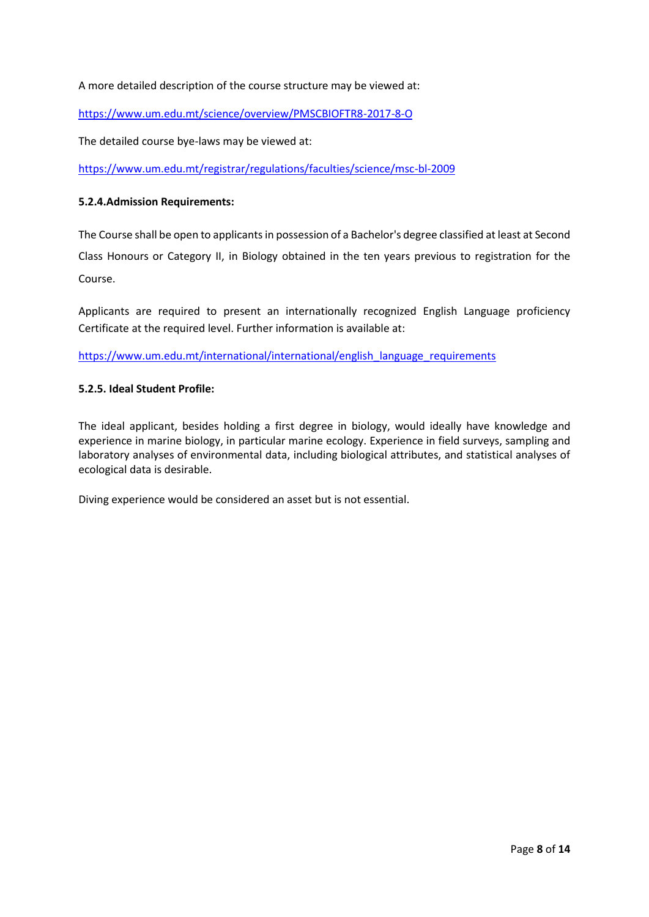A more detailed description of the course structure may be viewed at:

<https://www.um.edu.mt/science/overview/PMSCBIOFTR8-2017-8-O>

The detailed course bye-laws may be viewed at:

<https://www.um.edu.mt/registrar/regulations/faculties/science/msc-bl-2009>

#### **5.2.4.Admission Requirements:**

The Course shall be open to applicants in possession of a Bachelor's degree classified at least at Second Class Honours or Category II, in Biology obtained in the ten years previous to registration for the Course.

Applicants are required to present an internationally recognized English Language proficiency Certificate at the required level. Further information is available at:

[https://www.um.edu.mt/international/international/english\\_language\\_requirements](https://www.um.edu.mt/international/international/english_language_requirements)

#### **5.2.5. Ideal Student Profile:**

The ideal applicant, besides holding a first degree in biology, would ideally have knowledge and experience in marine biology, in particular marine ecology. Experience in field surveys, sampling and laboratory analyses of environmental data, including biological attributes, and statistical analyses of ecological data is desirable.

Diving experience would be considered an asset but is not essential.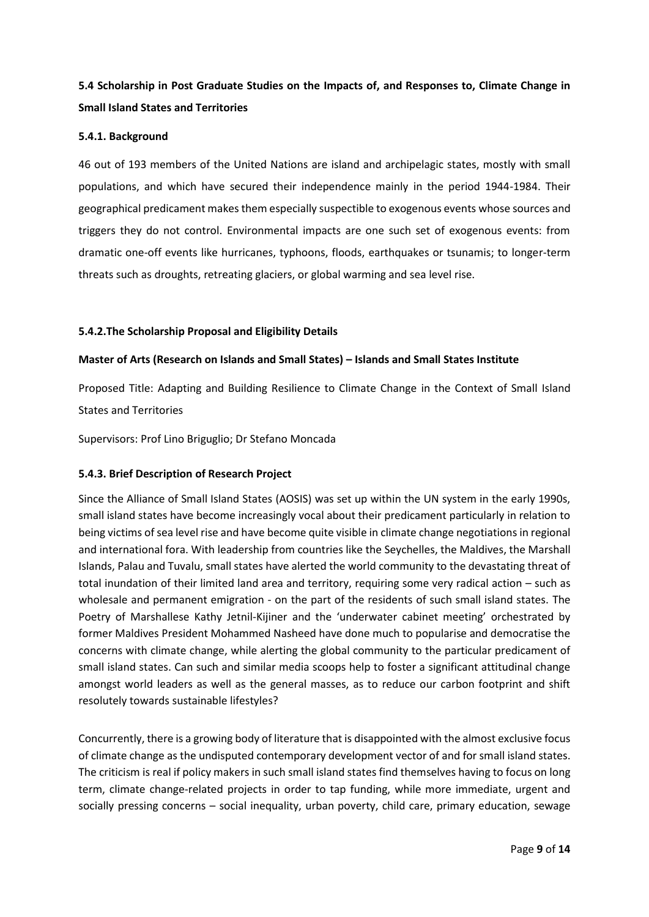# **5.4 Scholarship in Post Graduate Studies on the Impacts of, and Responses to, Climate Change in Small Island States and Territories**

#### **5.4.1. Background**

46 out of 193 members of the United Nations are island and archipelagic states, mostly with small populations, and which have secured their independence mainly in the period 1944-1984. Their geographical predicament makes them especially suspectible to exogenous events whose sources and triggers they do not control. Environmental impacts are one such set of exogenous events: from dramatic one-off events like hurricanes, typhoons, floods, earthquakes or tsunamis; to longer-term threats such as droughts, retreating glaciers, or global warming and sea level rise.

#### **5.4.2.The Scholarship Proposal and Eligibility Details**

#### **Master of Arts (Research on Islands and Small States) – Islands and Small States Institute**

Proposed Title: Adapting and Building Resilience to Climate Change in the Context of Small Island States and Territories

Supervisors: Prof Lino Briguglio; Dr Stefano Moncada

#### **5.4.3. Brief Description of Research Project**

Since the Alliance of Small Island States (AOSIS) was set up within the UN system in the early 1990s, small island states have become increasingly vocal about their predicament particularly in relation to being victims of sea level rise and have become quite visible in climate change negotiations in regional and international fora. With leadership from countries like the Seychelles, the Maldives, the Marshall Islands, Palau and Tuvalu, small states have alerted the world community to the devastating threat of total inundation of their limited land area and territory, requiring some very radical action – such as wholesale and permanent emigration - on the part of the residents of such small island states. The Poetry of Marshallese Kathy Jetnil-Kijiner and the 'underwater cabinet meeting' orchestrated by former Maldives President Mohammed Nasheed have done much to popularise and democratise the concerns with climate change, while alerting the global community to the particular predicament of small island states. Can such and similar media scoops help to foster a significant attitudinal change amongst world leaders as well as the general masses, as to reduce our carbon footprint and shift resolutely towards sustainable lifestyles?

Concurrently, there is a growing body of literature that is disappointed with the almost exclusive focus of climate change as the undisputed contemporary development vector of and for small island states. The criticism is real if policy makers in such small island states find themselves having to focus on long term, climate change-related projects in order to tap funding, while more immediate, urgent and socially pressing concerns – social inequality, urban poverty, child care, primary education, sewage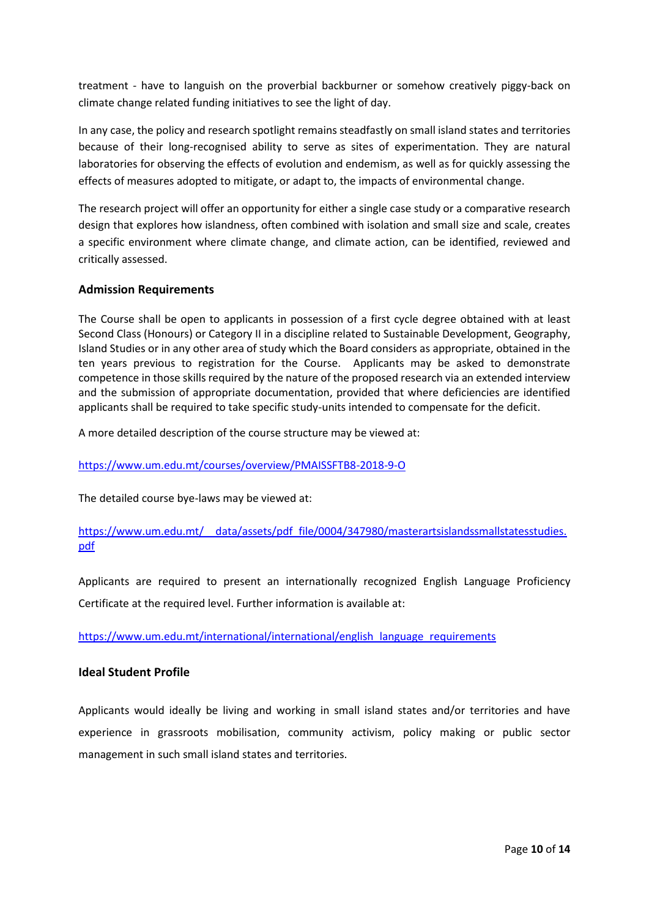treatment - have to languish on the proverbial backburner or somehow creatively piggy-back on climate change related funding initiatives to see the light of day.

In any case, the policy and research spotlight remains steadfastly on small island states and territories because of their long-recognised ability to serve as sites of experimentation. They are natural laboratories for observing the effects of evolution and endemism, as well as for quickly assessing the effects of measures adopted to mitigate, or adapt to, the impacts of environmental change.

The research project will offer an opportunity for either a single case study or a comparative research design that explores how islandness, often combined with isolation and small size and scale, creates a specific environment where climate change, and climate action, can be identified, reviewed and critically assessed.

### **Admission Requirements**

The Course shall be open to applicants in possession of a first cycle degree obtained with at least Second Class (Honours) or Category II in a discipline related to Sustainable Development, Geography, Island Studies or in any other area of study which the Board considers as appropriate, obtained in the ten years previous to registration for the Course. Applicants may be asked to demonstrate competence in those skills required by the nature of the proposed research via an extended interview and the submission of appropriate documentation, provided that where deficiencies are identified applicants shall be required to take specific study-units intended to compensate for the deficit.

A more detailed description of the course structure may be viewed at:

<https://www.um.edu.mt/courses/overview/PMAISSFTB8-2018-9-O>

The detailed course bye-laws may be viewed at:

### [https://www.um.edu.mt/\\_\\_data/assets/pdf\\_file/0004/347980/masterartsislandssmallstatesstudies.](https://www.um.edu.mt/__data/assets/pdf_file/0004/347980/masterartsislandssmallstatesstudies.pdf) [pdf](https://www.um.edu.mt/__data/assets/pdf_file/0004/347980/masterartsislandssmallstatesstudies.pdf)

Applicants are required to present an internationally recognized English Language Proficiency Certificate at the required level. Further information is available at:

[https://www.um.edu.mt/international/international/english\\_language\\_requirements](https://www.um.edu.mt/international/international/english_language_requirements)

#### **Ideal Student Profile**

Applicants would ideally be living and working in small island states and/or territories and have experience in grassroots mobilisation, community activism, policy making or public sector management in such small island states and territories.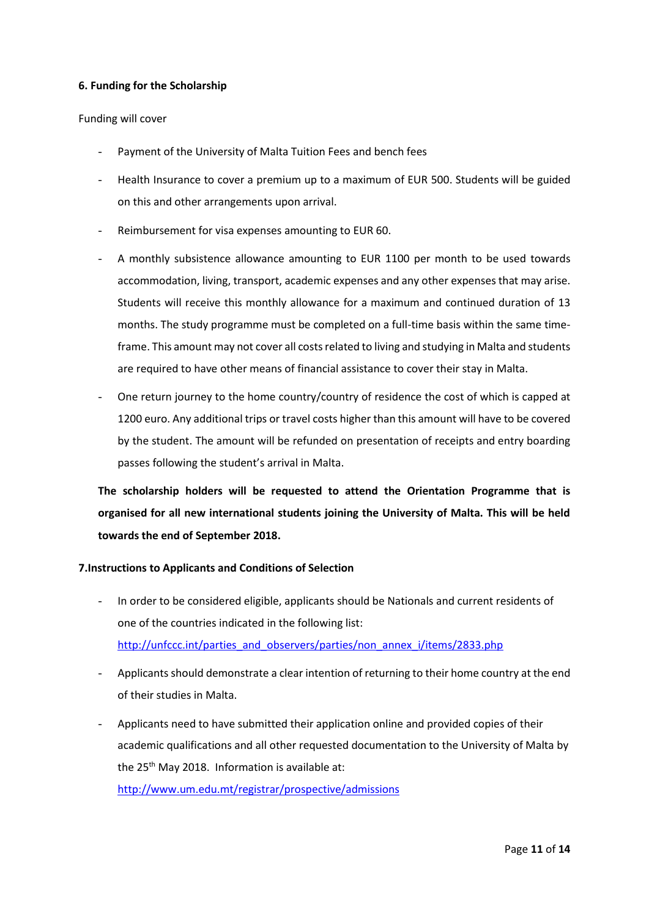#### **6. Funding for the Scholarship**

#### Funding will cover

- Payment of the University of Malta Tuition Fees and bench fees
- Health Insurance to cover a premium up to a maximum of EUR 500. Students will be guided on this and other arrangements upon arrival.
- Reimbursement for visa expenses amounting to EUR 60.
- A monthly subsistence allowance amounting to EUR 1100 per month to be used towards accommodation, living, transport, academic expenses and any other expenses that may arise. Students will receive this monthly allowance for a maximum and continued duration of 13 months. The study programme must be completed on a full-time basis within the same timeframe. This amount may not cover all costs related to living and studying in Malta and students are required to have other means of financial assistance to cover their stay in Malta.
- One return journey to the home country/country of residence the cost of which is capped at 1200 euro. Any additional trips or travel costs higher than this amount will have to be covered by the student. The amount will be refunded on presentation of receipts and entry boarding passes following the student's arrival in Malta.

**The scholarship holders will be requested to attend the Orientation Programme that is organised for all new international students joining the University of Malta. This will be held towards the end of September 2018.** 

#### **7.Instructions to Applicants and Conditions of Selection**

- In order to be considered eligible, applicants should be Nationals and current residents of one of the countries indicated in the following list: [http://unfccc.int/parties\\_and\\_observers/parties/non\\_annex\\_i/items/2833.php](http://unfccc.int/parties_and_observers/parties/non_annex_i/items/2833.php)
- Applicants should demonstrate a clear intention of returning to their home country at the end of their studies in Malta.
- Applicants need to have submitted their application online and provided copies of their academic qualifications and all other requested documentation to the University of Malta by the 25<sup>th</sup> May 2018. Information is available at: <http://www.um.edu.mt/registrar/prospective/admissions>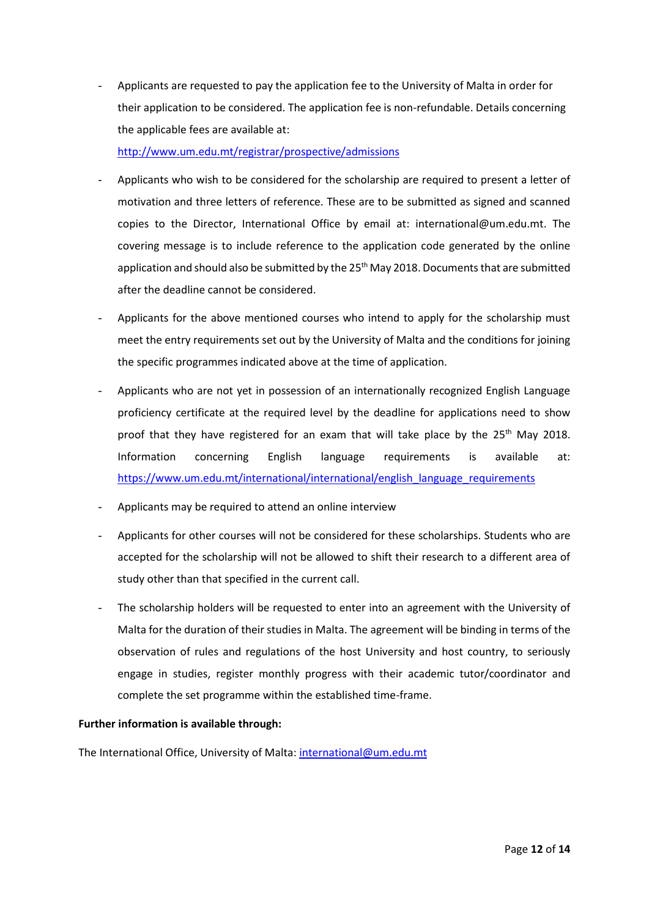Applicants are requested to pay the application fee to the University of Malta in order for their application to be considered. The application fee is non-refundable. Details concerning the applicable fees are available at:

<http://www.um.edu.mt/registrar/prospective/admissions>

- Applicants who wish to be considered for the scholarship are required to present a letter of motivation and three letters of reference. These are to be submitted as signed and scanned copies to the Director, International Office by email at: international@um.edu.mt. The covering message is to include reference to the application code generated by the online application and should also be submitted by the 25<sup>th</sup> May 2018. Documents that are submitted after the deadline cannot be considered.
- Applicants for the above mentioned courses who intend to apply for the scholarship must meet the entry requirements set out by the University of Malta and the conditions for joining the specific programmes indicated above at the time of application.
- Applicants who are not yet in possession of an internationally recognized English Language proficiency certificate at the required level by the deadline for applications need to show proof that they have registered for an exam that will take place by the 25<sup>th</sup> May 2018. Information concerning English language requirements is available at: [https://www.um.edu.mt/international/international/english\\_language\\_requirements](https://www.um.edu.mt/international/international/english_language_requirements)
- Applicants may be required to attend an online interview
- Applicants for other courses will not be considered for these scholarships. Students who are accepted for the scholarship will not be allowed to shift their research to a different area of study other than that specified in the current call.
- The scholarship holders will be requested to enter into an agreement with the University of Malta for the duration of their studies in Malta. The agreement will be binding in terms of the observation of rules and regulations of the host University and host country, to seriously engage in studies, register monthly progress with their academic tutor/coordinator and complete the set programme within the established time-frame.

### **Further information is available through:**

The International Office, University of Malta[: international@um.edu.mt](mailto:stefania.agius-fabri@um.edu.mt)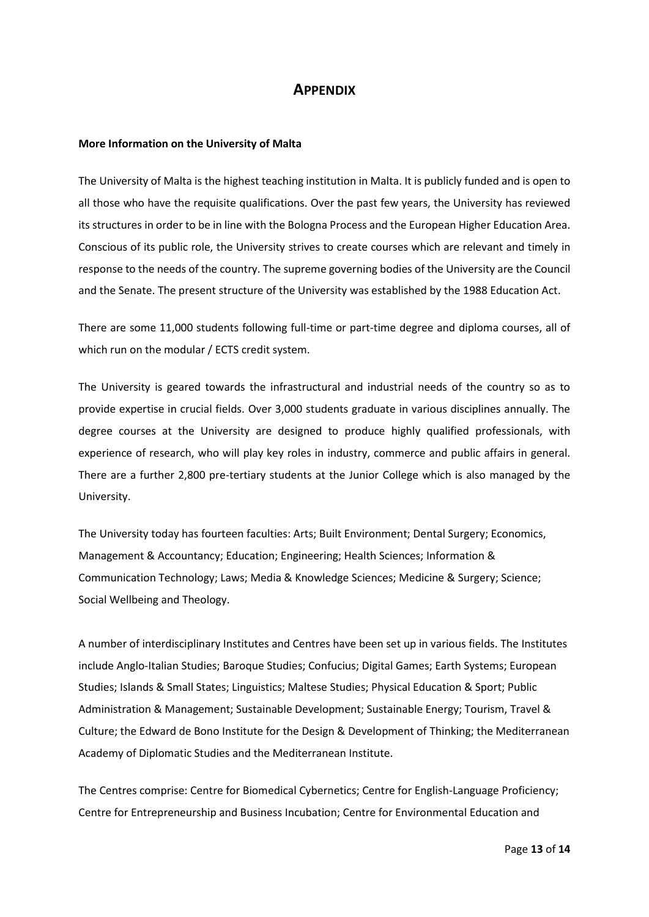## **APPENDIX**

#### **More Information on the University of Malta**

The University of Malta is the highest teaching institution in Malta. It is publicly funded and is open to all those who have the requisite qualifications. Over the past few years, the University has reviewed its structures in order to be in line with the Bologna Process and the European Higher Education Area. Conscious of its public role, the University strives to create courses which are relevant and timely in response to the needs of the country. The supreme governing bodies of the University are the Council and the Senate. The present structure of the University was established by the [1988 Education Act.](http://www.justiceservices.gov.mt/DownloadDocument.aspx?app=lom&itemid=8801)

There are some 11,000 students following full-time or part-time degree and diploma courses, all of which run on the modular / ECTS credit system.

The University is geared towards the infrastructural and industrial needs of the country so as to provide expertise in crucial fields. Over 3,000 students graduate in various disciplines annually. The degree courses at the University are designed to produce highly qualified professionals, with experience of research, who will play key roles in industry, commerce and public affairs in general. There are a further 2,800 pre-tertiary students at the Junior College which is also managed by the University.

The University today has fourteen faculties: Arts; Built Environment; Dental Surgery; Economics, Management & Accountancy; Education; Engineering; Health Sciences; Information & Communication Technology; Laws; Media & Knowledge Sciences; Medicine & Surgery; Science; Social Wellbeing and Theology.

A number of interdisciplinary Institutes and Centres have been set up in various fields. The Institutes include Anglo-Italian Studies; Baroque Studies; Confucius; Digital Games; Earth Systems; European Studies; Islands & Small States; Linguistics; Maltese Studies; Physical Education & Sport; Public Administration & Management; Sustainable Development; Sustainable Energy; Tourism, Travel & Culture; the Edward de Bono Institute for the Design & Development of Thinking; the Mediterranean Academy of Diplomatic Studies and the Mediterranean Institute.

The Centres comprise: Centre for Biomedical Cybernetics; Centre for English-Language Proficiency; Centre for Entrepreneurship and Business Incubation; Centre for Environmental Education and